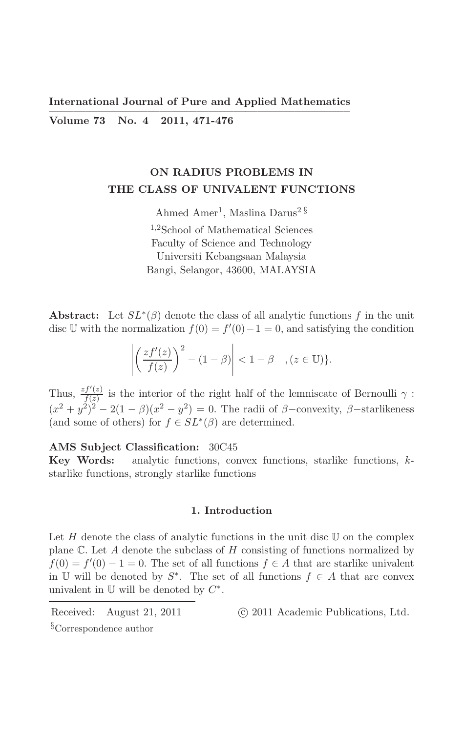**International Journal of Pure and Applied Mathematics** Volume 73 No. 4 2011, 471-476

# ON RADIUS PROBLEMS IN THE CLASS OF UNIVALENT FUNCTIONS

Ahmed Amer<sup>1</sup>, Maslina Darus<sup>2 §</sup> <sup>1,2</sup>School of Mathematical Sciences Faculty of Science and Technology Universiti Kebangsaan Malaysia Bangi, Selangor, 43600, MALAYSIA

**Abstract:** Let  $SL^*(\beta)$  denote the class of all analytic functions f in the unit disc U with the normalization  $f(0) = f'(0) - 1 = 0$ , and satisfying the condition

$$
\left| \left( \frac{zf'(z)}{f(z)} \right)^2 - (1 - \beta) \right| < 1 - \beta \quad , \quad (z \in \mathbb{U}) \}.
$$

Thus,  $\frac{zf'(z)}{f(z)}$  is the interior of the right half of the lemniscate of Bernoulli  $\gamma$ :<br> $(x^2 + y^2)^2 - 2(1 - \beta)(x^2 - y^2) = 0$ . The radii of  $\beta$ -convexity,  $\beta$ -starlikeness (and some of others) for  $f \in SL^*(\beta)$  are determined.

## AMS Subject Classification: 30C45

Key Words: analytic functions, convex functions, starlike functions,  $k$ starlike functions, strongly starlike functions

### 1. Introduction

Let H denote the class of analytic functions in the unit disc  $U$  on the complex plane  $\mathbb C$ . Let A denote the subclass of H consisting of functions normalized by  $f(0) = f'(0) - 1 = 0$ . The set of all functions  $f \in A$  that are starlike univalent in U will be denoted by  $S^*$ . The set of all functions  $f \in A$  that are convex univalent in  $\mathbb U$  will be denoted by  $C^*$ .

Received: August 21, 2011 <sup>§</sup>Correspondence author

(c) 2011 Academic Publications, Ltd.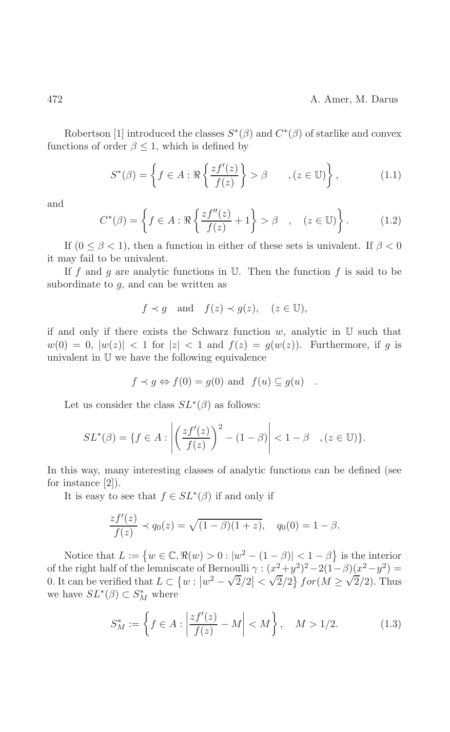Robertson [1] introduced the classes  $S^*(\beta)$  and  $C^*(\beta)$  of starlike and convex functions of order  $\beta \leq 1$ , which is defined by

$$
S^*(\beta) = \left\{ f \in A : \Re\left\{ \frac{zf'(z)}{f(z)} \right\} > \beta \qquad , (z \in \mathbb{U}) \right\},\tag{1.1}
$$

and

$$
C^*(\beta) = \left\{ f \in A : \Re\left\{ \frac{zf''(z)}{f(z)} + 1 \right\} > \beta \quad , \quad (z \in \mathbb{U}) \right\}.
$$
 (1.2)

If  $(0 \le \beta < 1)$ , then a function in either of these sets is univalent. If  $\beta < 0$ it may fail to be univalent.

If f and g are analytic functions in  $\mathbb U$ . Then the function f is said to be subordinate to  $q$ , and can be written as

$$
f \prec g
$$
 and  $f(z) \prec g(z)$ ,  $(z \in \mathbb{U})$ ,

if and only if there exists the Schwarz function  $w$ , analytic in  $U$  such that  $w(0) = 0$ ,  $|w(z)| < 1$  for  $|z| < 1$  and  $f(z) = g(w(z))$ . Furthermore, if g is univalent in  $U$  we have the following equivalence

$$
f \prec g \Leftrightarrow f(0) = g(0)
$$
 and  $f(u) \subseteq g(u)$ 

Let us consider the class  $SL^*(\beta)$  as follows:

$$
SL^*(\beta) = \{ f \in A : \left| \left( \frac{zf'(z)}{f(z)} \right)^2 - (1 - \beta) \right| < 1 - \beta \quad , \quad (z \in \mathbb{U}) \}.
$$

In this way, many interesting classes of analytic functions can be defined (see for instance  $[2]$ ).

It is easy to see that  $f \in SL^*(\beta)$  if and only if

$$
\frac{zf'(z)}{f(z)} \prec q_0(z) = \sqrt{(1-\beta)(1+z)}, \quad q_0(0) = 1-\beta.
$$

Notice that  $L := \{w \in \mathbb{C}, \Re(w) > 0 : |w^2 - (1 - \beta)| < 1 - \beta\}$  is the interior of the right half of the lemniscate of Bernoulli  $\gamma: (x^2+y^2)^2-2(1-\beta)(x^2-y^2)=$ 0. It can be verified that  $L \subset \{w : |w^2 - \sqrt{2}/2| < \sqrt{2}/2\}$  for  $(M \ge \sqrt{2}/2)$ . Thus we have  $SL^*(\beta) \subset S_M^*$  where

$$
S_M^* := \left\{ f \in A : \left| \frac{z f'(z)}{f(z)} - M \right| < M \right\}, \quad M > 1/2. \tag{1.3}
$$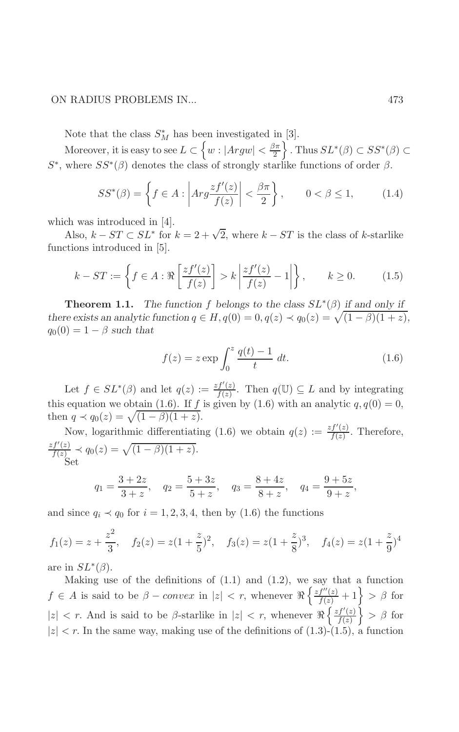## ON RADIUS PROBLEMS IN...

Note that the class  $S_M^*$  has been investigated in [3].

Moreover, it is easy to see  $L \subset \left\{w: |Argw| < \frac{\beta \pi}{2} \right\}$ . Thus  $SL^*(\beta) \subset SS^*(\beta)$  $S^*$ , where  $SS^*(\beta)$  denotes the class of strongly starlike functions of order  $\beta$ .

$$
SS^*(\beta) = \left\{ f \in A : \left| Arg \frac{zf'(z)}{f(z)} \right| < \frac{\beta \pi}{2} \right\}, \qquad 0 < \beta \le 1,\tag{1.4}
$$

which was introduced in  $[4]$ .

Also,  $k - ST \subset SL^*$  for  $k = 2 + \sqrt{2}$ , where  $k - ST$  is the class of k-starlike functions introduced in [5].

$$
k - ST := \left\{ f \in A : \Re\left[\frac{zf'(z)}{f(z)}\right] > k \left|\frac{zf'(z)}{f(z)} - 1\right|\right\}, \qquad k \ge 0. \tag{1.5}
$$

**Theorem 1.1.** The function f belongs to the class  $SL^*(\beta)$  if and only if there exists an analytic function  $q \in H$ ,  $q(0) = 0$ ,  $q(z) \prec q_0(z) = \sqrt{(1-\beta)(1+z)}$ ,  $q_0(0) = 1 - \beta$  such that

$$
f(z) = z \exp \int_0^z \frac{q(t) - 1}{t} \, dt. \tag{1.6}
$$

Let  $f \in SL^*(\beta)$  and let  $q(z) := \frac{zf'(z)}{f(z)}$ . Then  $q(\mathbb{U}) \subseteq L$  and by integrating this equation we obtain (1.6). If f is given by (1.6) with an analytic  $q, q(0) = 0$ ,

Now, logarithmic differentiating (1.6) we obtain  $q(z) := \frac{zf'(z)}{f(z)}$ . Therefore,<br>  $\frac{zf'(z)}{f(z)} \prec q_0(z) = \sqrt{(1-\beta)(1+z)}$ .<br>
Set

$$
q_1 = \frac{3+2z}{3+z}
$$
,  $q_2 = \frac{5+3z}{5+z}$ ,  $q_3 = \frac{8+4z}{8+z}$ ,  $q_4 = \frac{9+5z}{9+z}$ ,

and since  $q_i \prec q_0$  for  $i = 1, 2, 3, 4$ , then by (1.6) the functions

$$
f_1(z) = z + \frac{z^2}{3}
$$
,  $f_2(z) = z(1 + \frac{z}{5})^2$ ,  $f_3(z) = z(1 + \frac{z}{8})^3$ ,  $f_4(z) = z(1 + \frac{z}{9})^4$ 

are in  $SL^*(\beta)$ .

Making use of the definitions of  $(1.1)$  and  $(1.2)$ , we say that a function  $f \in A$  is said to be  $\beta$  – convex in  $|z| < r$ , whenever  $\Re\left\{\frac{zf''(z)}{f(z)}+1\right\} > \beta$  for  $|z|$  < r. And is said to be  $\beta$ -starlike in  $|z|$  < r, whenever  $\Re\left\{\frac{zf'(z)}{f(z)}\right\} > \beta$  for  $|z| < r$ . In the same way, making use of the definitions of (1.3)-(1.5), a function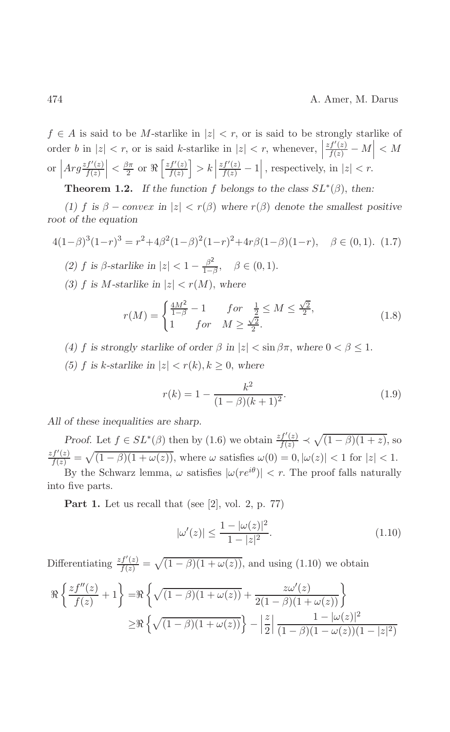$f \in A$  is said to be M-starlike in  $|z| < r$ , or is said to be strongly starlike of order b in  $|z| < r$ , or is said k-starlike in  $|z| < r$ , whenever,  $\left|\frac{zf'(z)}{f(z)} - M\right| < M$ or  $\left| Arg \frac{zf'(z)}{f(z)} \right| < \frac{\beta \pi}{2}$  or  $\Re \left[ \frac{zf'(z)}{f(z)} \right] > k \left| \frac{zf'(z)}{f(z)} - 1 \right|$ , respectively, in  $|z| < r$ .

**Theorem 1.2.** If the function f belongs to the class  $SL^*(\beta)$ , then:

(1) f is  $\beta$  – convex in  $|z| < r(\beta)$  where  $r(\beta)$  denote the smallest positive root of the equation

$$
4(1-\beta)^3(1-r)^3 = r^2 + 4\beta^2(1-\beta)^2(1-r)^2 + 4r\beta(1-\beta)(1-r), \quad \beta \in (0,1). \tag{1.7}
$$

- (2) f is  $\beta$ -starlike in  $|z| < 1 \frac{\beta^2}{1-\beta}$ ,  $\beta \in (0,1)$ .
- (3) f is M-starlike in  $|z| < r(M)$ , where

$$
r(M) = \begin{cases} \frac{4M^2}{1-\beta} - 1 & \text{for } \frac{1}{2} \le M \le \frac{\sqrt{2}}{2}, \\ 1 & \text{for } M \ge \frac{\sqrt{2}}{2}. \end{cases}
$$
(1.8)

- (4) f is strongly starlike of order  $\beta$  in  $|z| < \sin \beta \pi$ , where  $0 < \beta \leq 1$ .
- (5) f is k-starlike in  $|z| < r(k)$ ,  $k \ge 0$ , where

$$
r(k) = 1 - \frac{k^2}{(1 - \beta)(k + 1)^2}.
$$
\n(1.9)

All of these inequalities are sharp.

*Proof.* Let  $f \in SL^*(\beta)$  then by (1.6) we obtain  $\frac{zf'(z)}{f(z)} \prec \sqrt{(1-\beta)(1+z)}$ , so  $\frac{zf'(z)}{f(z)} = \sqrt{(1-\beta)(1+\omega(z))}$ , where  $\omega$  satisfies  $\omega(0) = 0, |\omega(z)| < 1$  for  $|z| < 1$ .

By the Schwarz lemma,  $\omega$  satisfies  $|\omega(re^{i\theta})| < r$ . The proof falls naturally into five parts.

**Part 1.** Let us recall that (see [2], vol. 2, p. 77)

$$
|\omega'(z)| \le \frac{1 - |\omega(z)|^2}{1 - |z|^2}.\tag{1.10}
$$

Differentiating  $\frac{zf'(z)}{f(z)} = \sqrt{(1-\beta)(1+\omega(z))}$ , and using (1.10) we obtain

$$
\Re\left\{\frac{zf''(z)}{f(z)}+1\right\} = \Re\left\{\sqrt{(1-\beta)(1+\omega(z))} + \frac{z\omega'(z)}{2(1-\beta)(1+\omega(z))}\right\}
$$

$$
\geq \Re\left\{\sqrt{(1-\beta)(1+\omega(z))}\right\} - \left|\frac{z}{2}\right|\frac{1-|\omega(z)|^2}{(1-\beta)(1-\omega(z))(1-|z|^2)}
$$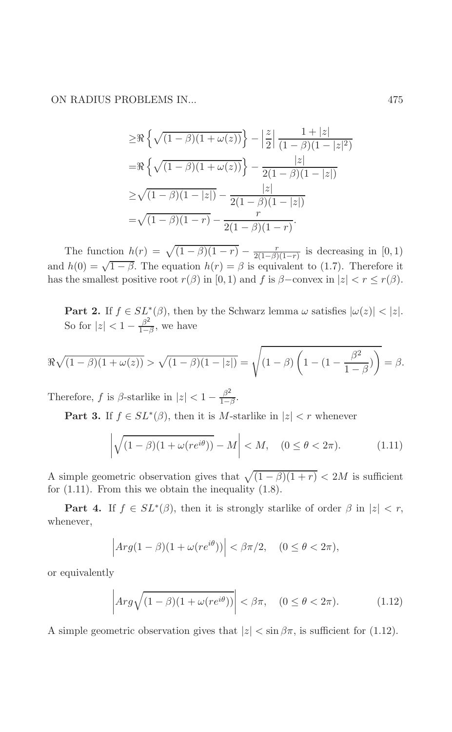ON RADIUS PROBLEMS IN...

$$
\geq \Re \left\{ \sqrt{(1-\beta)(1+\omega(z))} \right\} - \left| \frac{z}{2} \right| \frac{1+|z|}{(1-\beta)(1-|z|^2)}
$$

$$
= \Re \left\{ \sqrt{(1-\beta)(1+\omega(z))} \right\} - \frac{|z|}{2(1-\beta)(1-|z|)}
$$

$$
\geq \sqrt{(1-\beta)(1-|z|)} - \frac{|z|}{2(1-\beta)(1-|z|)}
$$

$$
= \sqrt{(1-\beta)(1-r)} - \frac{r}{2(1-\beta)(1-r)}.
$$

The function  $h(r) = \sqrt{(1-\beta)(1-r)} - \frac{r}{2(1-\beta)(1-r)}$  is decreasing in [0, 1) and  $h(0) = \sqrt{1-\beta}$ . The equation  $h(r) = \beta$  is equivalent to (1.7). Therefore it has the smallest positive root  $r(\beta)$  in [0, 1) and f is  $\beta$ -convex in  $|z| < r \le r(\beta)$ .

**Part 2.** If  $f \in SL^*(\beta)$ , then by the Schwarz lemma  $\omega$  satisfies  $|\omega(z)| < |z|$ . So for  $|z| < 1 - \frac{\beta^2}{1-\beta}$ , we have

$$
\Re\sqrt{(1-\beta)(1+\omega(z))} > \sqrt{(1-\beta)(1-|z|)} = \sqrt{(1-\beta)\left(1-(1-\frac{\beta^2}{1-\beta})\right)} = \beta.
$$

Therefore,  $f$  is  $\beta\text{-starlike}$  in  $|z|<1-\frac{\beta^2}{1-\beta}.$ 

**Part 3.** If  $f \in SL^*(\beta)$ , then it is M-starlike in  $|z| < r$  whenever

$$
\left| \sqrt{(1-\beta)(1+\omega(re^{i\theta}))} - M \right| < M, \quad (0 \le \theta < 2\pi). \tag{1.11}
$$

A simple geometric observation gives that  $\sqrt{(1-\beta)(1+r)} < 2M$  is sufficient for  $(1.11)$ . From this we obtain the inequality  $(1.8)$ .

**Part 4.** If  $f \in SL^*(\beta)$ , then it is strongly starlike of order  $\beta$  in  $|z| < r$ , whenever,

$$
\left|Arg(1-\beta)(1+\omega(re^{i\theta}))\right| < \beta\pi/2, \quad (0 \le \theta < 2\pi),
$$

or equivalently

$$
\left| Arg\sqrt{(1-\beta)(1+\omega(re^{i\theta}))}\right| < \beta\pi, \quad (0 \le \theta < 2\pi). \tag{1.12}
$$

A simple geometric observation gives that  $|z| < \sin \beta \pi$ , is sufficient for (1.12).